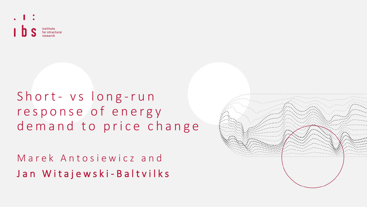

# Short- vs long-run r e s p o n s e o f e n e r g y demand to price change

Marek Antosiewicz and Jan Witajewski-Baltvilks

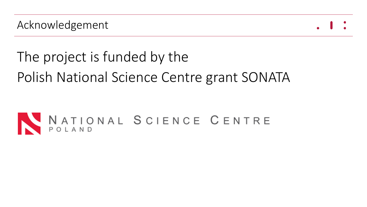# The project is funded by the

Polish National Science Centre grant SONATA

# NATIONAL SCIENCE CENTRE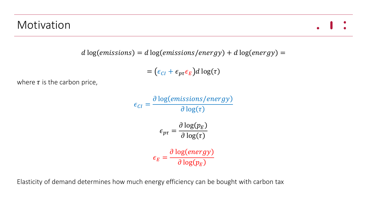#### Motivation

$$
d \log (emissions) = d \log (emissions/energy) + d \log (energy) =
$$

$$
= (\epsilon_{CI} + \epsilon_{p\tau} \epsilon_E) d \log(\tau)
$$

where  $\tau$  is the carbon price,

$$
\epsilon_{Cl} = \frac{\partial \log(emissions/energy)}{\partial \log(\tau)}
$$

$$
\epsilon_{p\tau} = \frac{\partial \log(p_E)}{\partial \log(\tau)}
$$

$$
\epsilon_E = \frac{\partial \log(energ)}{\partial \log(p_E)}
$$

Elasticity of demand determines how much energy efficiency can be bought with carbon tax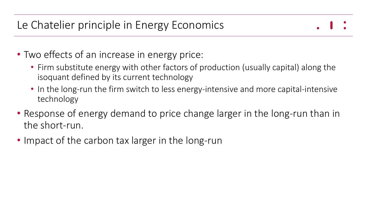# Le Chatelier principle in Energy Economics

- Two effects of an increase in energy price:
	- Firm substitute energy with other factors of production (usually capital) along the isoquant defined by its current technology
	- In the long-run the firm switch to less energy-intensive and more capital-intensive technology
- Response of energy demand to price change larger in the long-run than in the short-run.
- Impact of the carbon tax larger in the long-run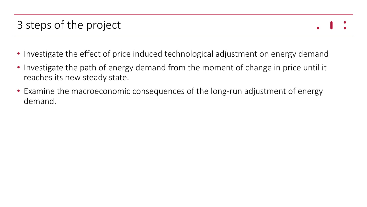# 3 steps of the project

- 
- Investigate the effect of price induced technological adjustment on energy demand
- Investigate the path of energy demand from the moment of change in price until it reaches its new steady state.
- Examine the macroeconomic consequences of the long-run adjustment of energy demand.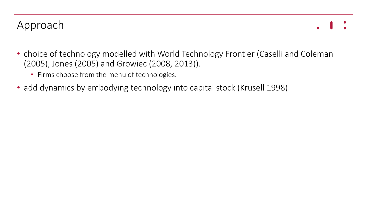- choice of technology modelled with World Technology Frontier (Caselli and Coleman (2005), Jones (2005) and Growiec (2008, 2013)).
	- Firms choose from the menu of technologies.
- add dynamics by embodying technology into capital stock (Krusell 1998)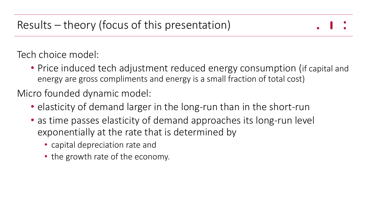Tech choice model:

• Price induced tech adjustment reduced energy consumption (if capital and energy are gross compliments and energy is a small fraction of total cost)

Micro founded dynamic model:

- elasticity of demand larger in the long-run than in the short-run
- as time passes elasticity of demand approaches its long-run level exponentially at the rate that is determined by
	- capital depreciation rate and
	- the growth rate of the economy.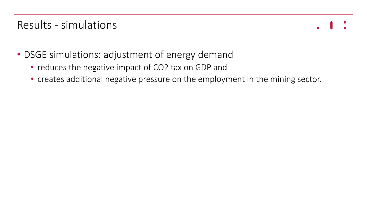#### Results - simulations

- DSGE simulations: adjustment of energy demand
	- reduces the negative impact of CO2 tax on GDP and
	- creates additional negative pressure on the employment in the mining sector.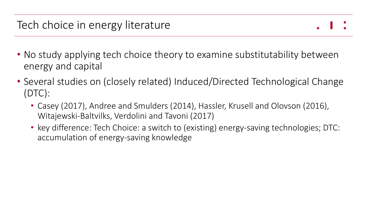- No study applying tech choice theory to examine substitutability between energy and capital
- Several studies on (closely related) Induced/Directed Technological Change (DTC):
	- Casey (2017), Andree and Smulders (2014), Hassler, Krusell and Olovson (2016), Witajewski-Baltvilks, Verdolini and Tavoni (2017)
	- key difference: Tech Choice: a switch to (existing) energy-saving technologies; DTC: accumulation of energy-saving knowledge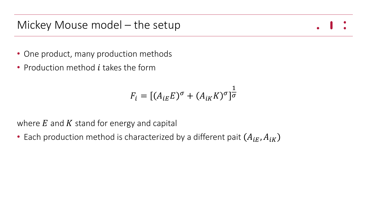#### Mickey Mouse model – the setup

- One product, many production methods
- Production method  $i$  takes the form

$$
F_i = [(A_{iE}E)^{\sigma} + (A_{iK}K)^{\sigma}]^{\frac{1}{\sigma}}
$$

where  $E$  and  $K$  stand for energy and capital

• Each production method is characterized by a different pait  $(A_{iF}, A_{iK})$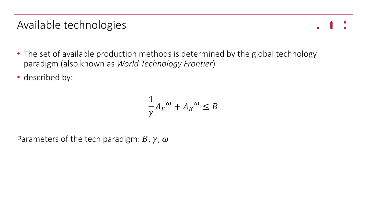#### Available technologies

- The set of available production methods is determined by the global technology paradigm (also known as *World Technology Frontier*)
- described by:

$$
\frac{1}{\gamma}A_E^{\omega} + A_K^{\omega} \le B
$$

Parameters of the tech paradigm:  $B$ ,  $\gamma$ ,  $\omega$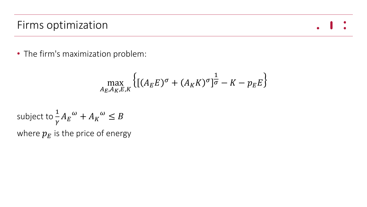#### Firms optimization

 $\bullet$ 

• The firm's maximization problem:

$$
\max_{A_E, A_K, E, K} \left\{ \left[ (A_E E)^{\sigma} + (A_K K)^{\sigma} \right]^{\frac{1}{\sigma}} - K - p_E E \right\}
$$

subject to 
$$
\frac{1}{\gamma} A_E^{\omega} + A_K^{\omega} \le B
$$
  
where  $p_E$  is the price of energy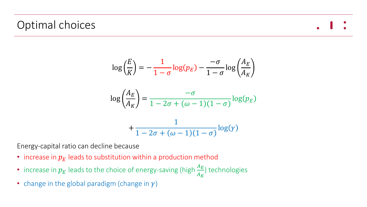#### Optimal choices

$$
\log\left(\frac{E}{K}\right) = -\frac{1}{1-\sigma}\log(p_E) - \frac{-\sigma}{1-\sigma}\log\left(\frac{A_E}{A_K}\right)
$$

$$
\log\left(\frac{A_E}{A_K}\right) = \frac{-\sigma}{1-2\sigma+(\omega-1)(1-\sigma)}\log(p_E)
$$

$$
+\frac{1}{1-2\sigma+(\omega-1)(1-\sigma)}\log(\gamma)
$$

Energy-capital ratio can decline because

- increase in  $p_E$  leads to substitution within a production method
- increase in  $p_E$  leads to the choice of energy-saving (high  $\frac{A_E}{A_M}$  $A_K$ ) technologies
- change in the global paradigm (change in  $\gamma$ )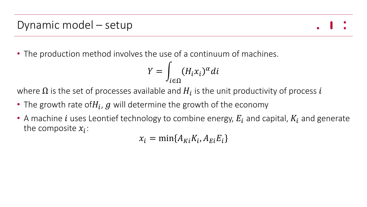• The production method involves the use of a continuum of machines.

$$
Y = \int_{i \in \Omega} (H_i x_i)^{\alpha} di
$$

where  $\Omega$  is the set of processes available and  $H_{\boldsymbol{i}}$  is the unit productivity of process  $\boldsymbol{i}$ 

- The growth rate of $H_i$ ,  $g$  will determine the growth of the economy
- A machine *i* uses Leontief technology to combine energy,  $E_i$  and capital,  $K_i$  and generate the composite  $x_i$ :

 $x_i = \min\{A_{Ki}K_i, A_{Ei}E_i\}$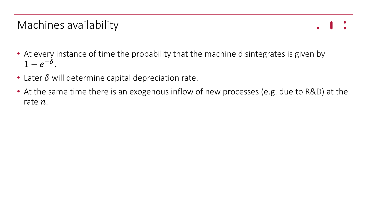#### Machines availability

- At every instance of time the probability that the machine disintegrates is given by  $1-e^{-\delta}$ .
- Later  $\delta$  will determine capital depreciation rate.
- At the same time there is an exogenous inflow of new processes (e.g. due to R&D) at the rate  $n$ .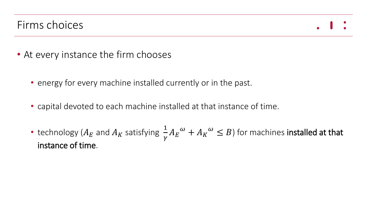#### Firms choices



- At every instance the firm chooses
	- energy for every machine installed currently or in the past.
	- capital devoted to each machine installed at that instance of time.
	- technology ( $A_E$  and  $A_K$  satisfying 1  $\frac{1}{\gamma}A_E^{\phantom{E} \omega}+ A_K^{\phantom{K} \omega}\le B$  ) for machines **installed at that** instance of time.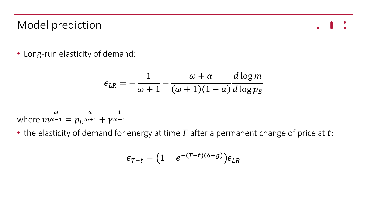# Model prediction

$$
\bullet\quad\bullet
$$

• Long-run elasticity of demand:

$$
\epsilon_{LR} = -\frac{1}{\omega + 1} - \frac{\omega + \alpha}{(\omega + 1)(1 - \alpha)} \frac{d \log m}{d \log p_E}
$$

where 
$$
m^{\frac{\omega}{\omega+1}} = p_E^{\frac{\omega}{\omega+1}} + \gamma^{\frac{1}{\omega+1}}
$$

• the elasticity of demand for energy at time  $T$  after a permanent change of price at  $t$ :

$$
\epsilon_{T-t} = (1 - e^{-(T-t)(\delta + g)}) \epsilon_{LR}
$$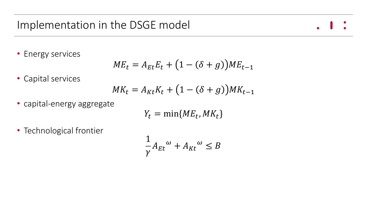#### Implementation in the DSGE model

• Energy services

$$
ME_t = A_{Et}E_t + (1 - (\delta + g))ME_{t-1}
$$

• Capital services

$$
MK_t = A_{Kt}K_t + (1 - (\delta + g))MK_{t-1}
$$

• capital-energy aggregate

$$
Y_t = \min\{ME_t, MK_t\}
$$

• Technological frontier

$$
\frac{1}{\gamma}A_{Et}^{\omega} + A_{Kt}^{\omega} \le B
$$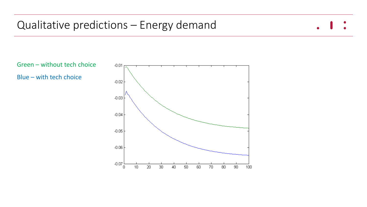#### Qualitative predictions – Energy demand



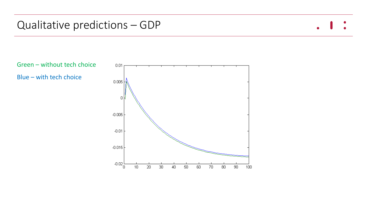#### Qualitative predictions – GDP



Green – without tech choice Blue – with tech choice

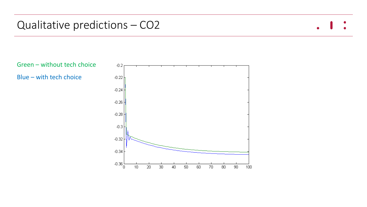#### Qualitative predictions – CO2



Green – without tech choice Blue – with tech choice

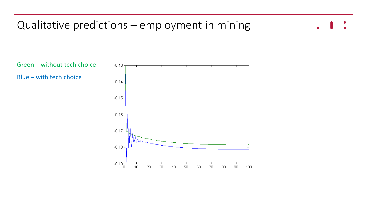

Green – without tech choice Blue – with tech choice